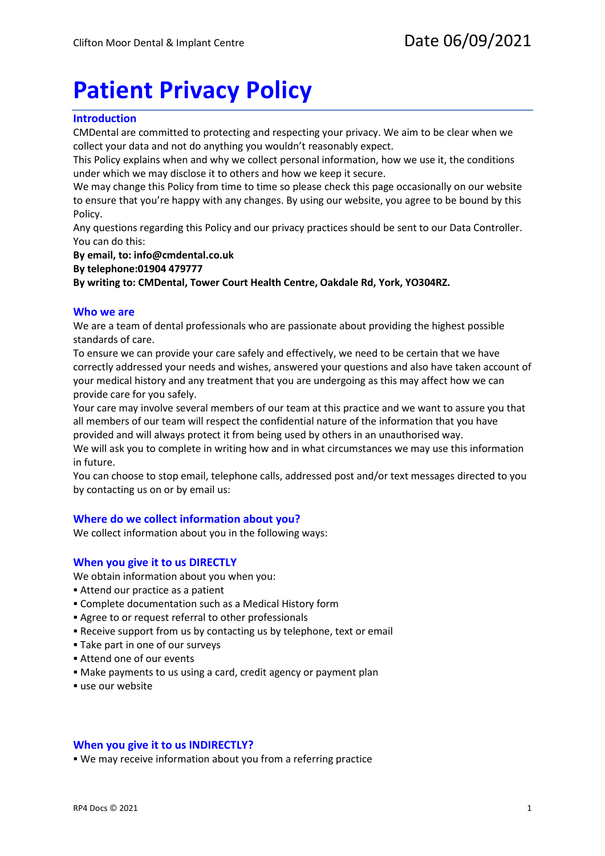# **Patient Privacy Policy**

# **Introduction**

CMDental are committed to protecting and respecting your privacy. We aim to be clear when we collect your data and not do anything you wouldn't reasonably expect.

This Policy explains when and why we collect personal information, how we use it, the conditions under which we may disclose it to others and how we keep it secure.

We may change this Policy from time to time so please check this page occasionally on our website to ensure that you're happy with any changes. By using our website, you agree to be bound by this Policy.

Any questions regarding this Policy and our privacy practices should be sent to our Data Controller. You can do this:

**By email, to: info@cmdental.co.uk**

**By telephone:01904 479777**

**By writing to: CMDental, Tower Court Health Centre, Oakdale Rd, York, YO304RZ.**

## **Who we are**

We are a team of dental professionals who are passionate about providing the highest possible standards of care.

To ensure we can provide your care safely and effectively, we need to be certain that we have correctly addressed your needs and wishes, answered your questions and also have taken account of your medical history and any treatment that you are undergoing as this may affect how we can provide care for you safely.

Your care may involve several members of our team at this practice and we want to assure you that all members of our team will respect the confidential nature of the information that you have provided and will always protect it from being used by others in an unauthorised way.

We will ask you to complete in writing how and in what circumstances we may use this information in future.

You can choose to stop email, telephone calls, addressed post and/or text messages directed to you by contacting us on or by email us:

## **Where do we collect information about you?**

We collect information about you in the following ways:

## **When you give it to us DIRECTLY**

We obtain information about you when you:

- Attend our practice as a patient
- Complete documentation such as a Medical History form
- Agree to or request referral to other professionals
- Receive support from us by contacting us by telephone, text or email
- Take part in one of our surveys
- Attend one of our events
- Make payments to us using a card, credit agency or payment plan
- use our website

## **When you give it to us INDIRECTLY?**

We may receive information about you from a referring practice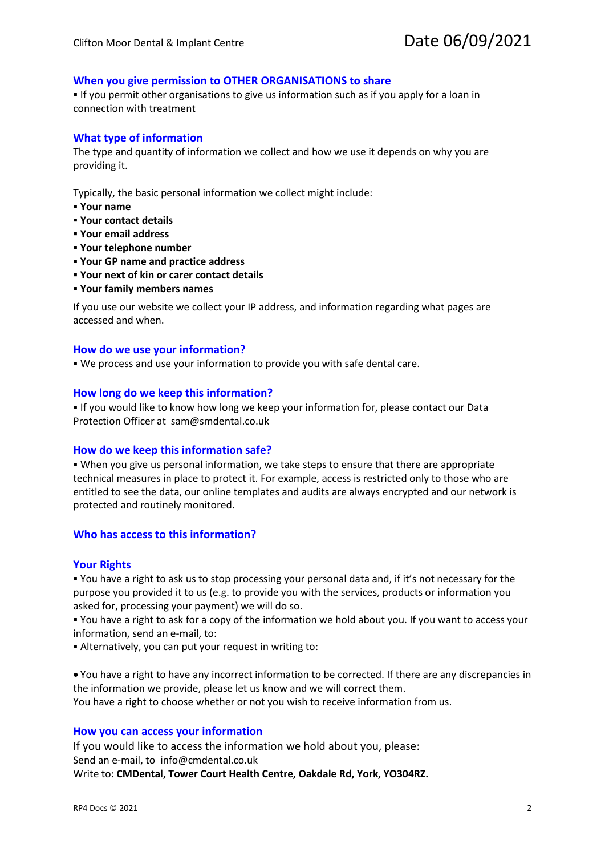# **When you give permission to OTHER ORGANISATIONS to share**

**If you permit other organisations to give us information such as if you apply for a loan in** connection with treatment

## **What type of information**

The type and quantity of information we collect and how we use it depends on why you are providing it.

Typically, the basic personal information we collect might include:

- **Your name**
- **Your contact details**
- **Your email address**
- **Your telephone number**
- **Your GP name and practice address**
- **Your next of kin or carer contact details**
- **Your family members names**

If you use our website we collect your IP address, and information regarding what pages are accessed and when.

#### **How do we use your information?**

We process and use your information to provide you with safe dental care.

#### **How long do we keep this information?**

 If you would like to know how long we keep your information for, please contact our Data Protection Officer at sam@smdental.co.uk

#### **How do we keep this information safe?**

 When you give us personal information, we take steps to ensure that there are appropriate technical measures in place to protect it. For example, access is restricted only to those who are entitled to see the data, our online templates and audits are always encrypted and our network is protected and routinely monitored.

### **Who has access to this information?**

#### **Your Rights**

 You have a right to ask us to stop processing your personal data and, if it's not necessary for the purpose you provided it to us (e.g. to provide you with the services, products or information you asked for, processing your payment) we will do so.

 You have a right to ask for a copy of the information we hold about you. If you want to access your information, send an e-mail, to:

Alternatively, you can put your request in writing to:

• You have a right to have any incorrect information to be corrected. If there are any discrepancies in the information we provide, please let us know and we will correct them.

You have a right to choose whether or not you wish to receive information from us.

#### **How you can access your information**

If you would like to access the information we hold about you, please: Send an e-mail, to info@cmdental.co.uk Write to: **CMDental, Tower Court Health Centre, Oakdale Rd, York, YO304RZ.**